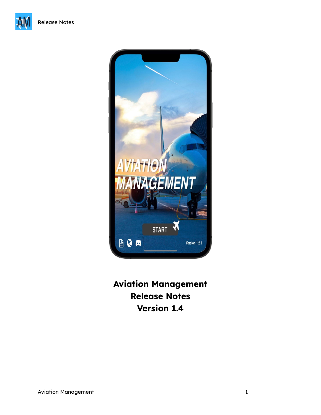



**Aviation Management Release Notes Version 1.4**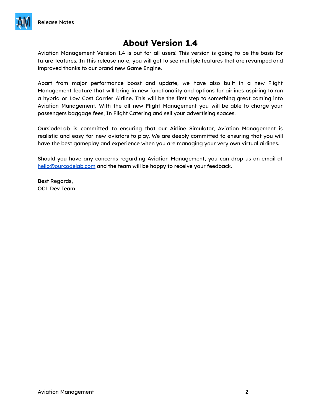

# **About Version 1.4**

Aviation Management Version 1.4 is out for all users! This version is going to be the basis for future features. In this release note, you will get to see multiple features that are revamped and improved thanks to our brand new Game Engine.

Apart from major performance boost and update, we have also built in a new Flight Management feature that will bring in new functionality and options for airlines aspiring to run a hybrid or Low Cost Carrier Airline. This will be the first step to something great coming into Aviation Management. With the all new Flight Management you will be able to charge your passengers baggage fees, In Flight Catering and sell your advertising spaces.

OurCodeLab is committed to ensuring that our Airline Simulator, Aviation Management is realistic and easy for new aviators to play. We are deeply committed to ensuring that you will have the best gameplay and experience when you are managing your very own virtual airlines.

Should you have any concerns regarding Aviation Management, you can drop us an email at [hello@ourcodelab.com](mailto:hello@ourcodelab.com) and the team will be happy to receive your feedback.

Best Regards, OCL Dev Team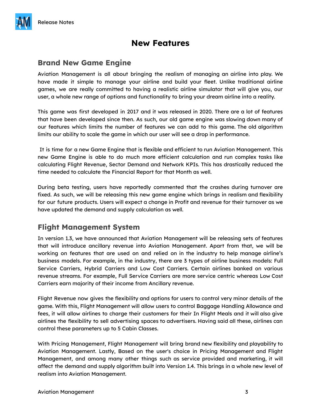## **New Features**

### **Brand New Game Engine**

Aviation Management is all about bringing the realism of managing an airline into play. We have made it simple to manage your airline and build your fleet. Unlike traditional airline games, we are really committed to having a realistic airline simulator that will give you, our user, a whole new range of options and functionality to bring your dream airline into a reality.

This game was first developed in 2017 and it was released in 2020. There are a lot of features that have been developed since then. As such, our old game engine was slowing down many of our features which limits the number of features we can add to this game. The old algorithm limits our ability to scale the game in which our user will see a drop in performance.

It is time for a new Game Engine that is flexible and efficient to run Aviation Management. This new Game Engine is able to do much more efficient calculation and run complex tasks like calculating Flight Revenue, Sector Demand and Network KPIs. This has drastically reduced the time needed to calculate the Financial Report for that Month as well.

During beta testing, users have reportedly commented that the crashes during turnover are fixed. As such, we will be releasing this new game engine which brings in realism and flexibility for our future products. Users will expect a change in Profit and revenue for their turnover as we have updated the demand and supply calculation as well.

### **Flight Management System**

In version 1.3, we have announced that Aviation Management will be releasing sets of features that will introduce ancillary revenue into Aviation Management. Apart from that, we will be working on features that are used on and relied on in the industry to help manage airline's business models. For example, in the industry, there are 3 types of airline business models: Full Service Carriers, Hybrid Carriers and Low Cost Carriers. Certain airlines banked on various revenue streams. For example, Full Service Carriers are more service centric whereas Low Cost Carriers earn majority of their income from Ancillary revenue.

Flight Revenue now gives the flexibility and options for users to control very minor details of the game. With this, Flight Management will allow users to control Baggage Handling Allowance and fees, it will allow airlines to charge their customers for their In Flight Meals and it will also give airlines the flexibility to sell advertising spaces to advertisers. Having said all these, airlines can control these parameters up to 5 Cabin Classes.

With Pricing Management, Flight Management will bring brand new flexibility and playability to Aviation Management. Lastly, Based on the user's choice in Pricing Management and Flight Management, and among many other things such as service provided and marketing, it will affect the demand and supply algorithm built into Version 1.4. This brings in a whole new level of realism into Aviation Management.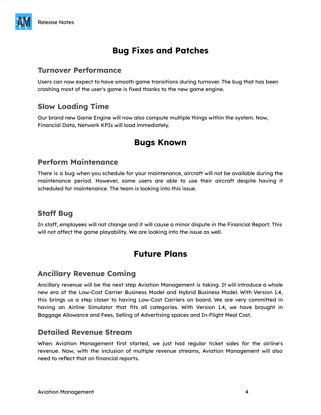# **Bug Fixes and Patches**

#### **Turnover Performance**

Users can now expect to have smooth game transitions during turnover. The bug that has been crashing most of the user's game is fixed thanks to the new game engine.

### **Slow Loading Time**

Our brand new Game Engine will now also compute multiple things within the system. Now, Financial Data, Network KPIs will load immediately.

## **Bugs Known**

#### **Perform Maintenance**

There is a bug when you schedule for your maintenance, aircraft will not be available during the maintenance period. However, some users are able to use their aircraft despite having it scheduled for maintenance. The team is looking into this issue.

#### **Staff Bug**

In staff, employees will not change and it will cause a minor dispute in the Financial Report. This will not affect the game playability. We are looking into the issue as well.

## **Future Plans**

#### **Ancillary Revenue Coming**

Ancillary revenue will be the next step Aviation Management is taking. It will introduce a whole new era of the Low-Cost Carrier Business Model and Hybrid Business Model. With Version 1.4, this brings us a step closer to having Low-Cost Carriers on board. We are very committed in having an Airline Simulator that fits all categories. With Version 1.4, we have brought in Baggage Allowance and Fees, Selling of Advertising spaces and In-Flight Meal Cost.

#### **Detailed Revenue Stream**

When Aviation Management first started, we just had regular ticket sales for the airline's revenue. Now, with the inclusion of multiple revenue streams, Aviation Management will also need to reflect that on financial reports.